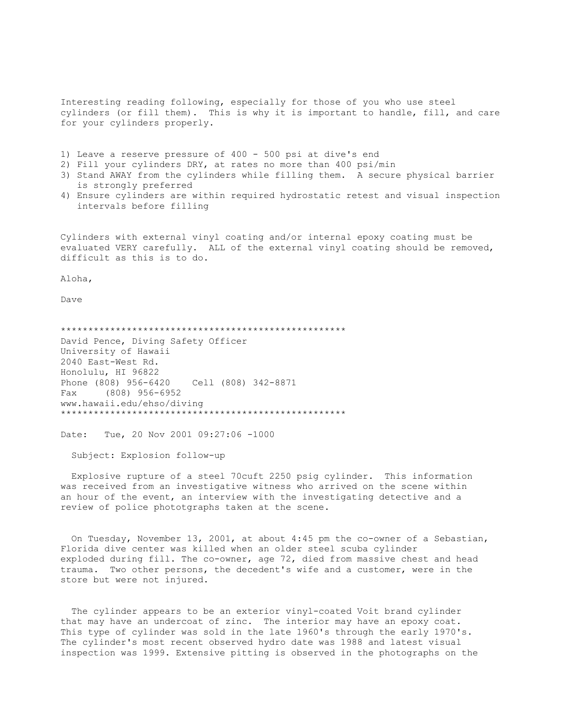Interesting reading following, especially for those of you who use steel cylinders (or fill them). This is why it is important to handle, fill, and care for your cylinders properly.

- 1) Leave a reserve pressure of 400 500 psi at dive's end
- 2) Fill your cylinders DRY, at rates no more than 400 psi/min
- 3) Stand AWAY from the cylinders while filling them. A secure physical barrier is strongly preferred
- 4) Ensure cylinders are within required hydrostatic retest and visual inspection intervals before filling

Cylinders with external vinyl coating and/or internal epoxy coating must be evaluated VERY carefully. ALL of the external vinyl coating should be removed, difficult as this is to do.

Aloha,

Dave

\*\*\*\*\*\*\*\*\*\*\*\*\*\*\*\*\*\*\*\*\*\*\*\*\*\*\*\*\*\*\*\*\*\*\*\*\*\*\*\*\*\*\*\*\*\*\*\*\*\*\*\* David Pence, Diving Safety Officer University of Hawaii 2040 East-West Rd. Honolulu, HI 96822 Phone (808) 956-6420 Cell (808) 342-8871 Fax (808) 956-6952 www.hawaii.edu/ehso/diving \*\*\*\*\*\*\*\*\*\*\*\*\*\*\*\*\*\*\*\*\*\*\*\*\*\*\*\*\*\*\*\*\*\*\*\*\*\*\*\*\*\*\*\*\*\*\*\*\*\*\*\*

Date: Tue, 20 Nov 2001 09:27:06 -1000

Subject: Explosion follow-up

 Explosive rupture of a steel 70cuft 2250 psig cylinder. This information was received from an investigative witness who arrived on the scene within an hour of the event, an interview with the investigating detective and a review of police phototgraphs taken at the scene.

 On Tuesday, November 13, 2001, at about 4:45 pm the co-owner of a Sebastian, Florida dive center was killed when an older steel scuba cylinder exploded during fill. The co-owner, age 72, died from massive chest and head trauma. Two other persons, the decedent's wife and a customer, were in the store but were not injured.

 The cylinder appears to be an exterior vinyl-coated Voit brand cylinder that may have an undercoat of zinc. The interior may have an epoxy coat. This type of cylinder was sold in the late 1960's through the early 1970's. The cylinder's most recent observed hydro date was 1988 and latest visual inspection was 1999. Extensive pitting is observed in the photographs on the